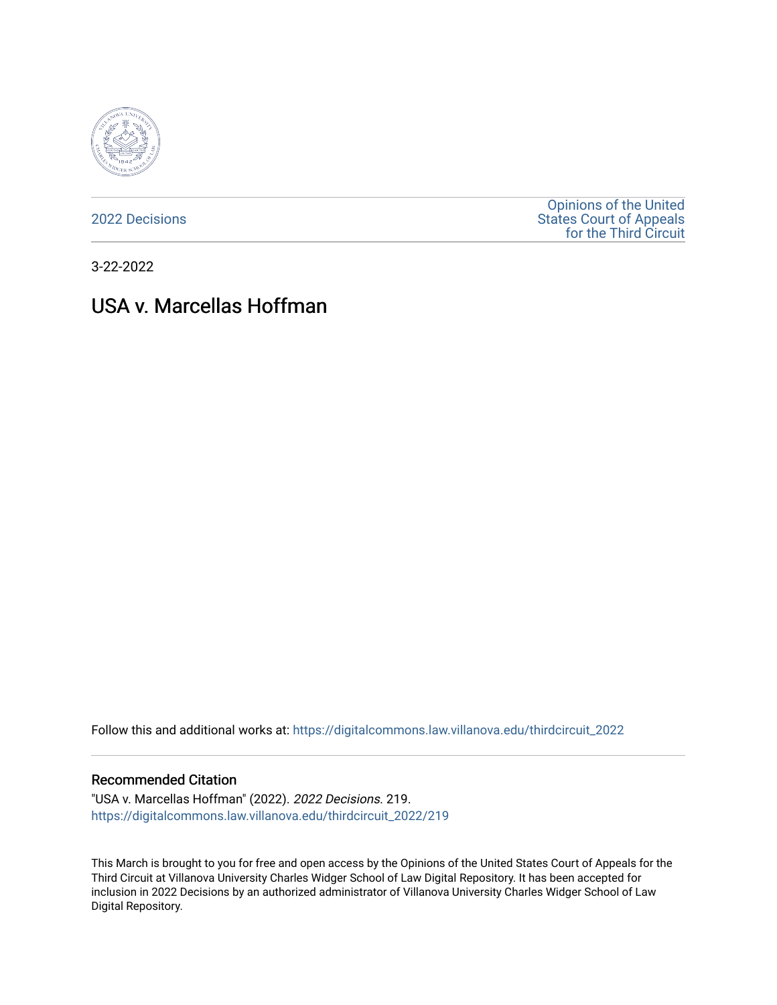

[2022 Decisions](https://digitalcommons.law.villanova.edu/thirdcircuit_2022)

[Opinions of the United](https://digitalcommons.law.villanova.edu/thirdcircuit)  [States Court of Appeals](https://digitalcommons.law.villanova.edu/thirdcircuit)  [for the Third Circuit](https://digitalcommons.law.villanova.edu/thirdcircuit) 

3-22-2022

# USA v. Marcellas Hoffman

Follow this and additional works at: [https://digitalcommons.law.villanova.edu/thirdcircuit\\_2022](https://digitalcommons.law.villanova.edu/thirdcircuit_2022?utm_source=digitalcommons.law.villanova.edu%2Fthirdcircuit_2022%2F219&utm_medium=PDF&utm_campaign=PDFCoverPages) 

#### Recommended Citation

"USA v. Marcellas Hoffman" (2022). 2022 Decisions. 219. [https://digitalcommons.law.villanova.edu/thirdcircuit\\_2022/219](https://digitalcommons.law.villanova.edu/thirdcircuit_2022/219?utm_source=digitalcommons.law.villanova.edu%2Fthirdcircuit_2022%2F219&utm_medium=PDF&utm_campaign=PDFCoverPages)

This March is brought to you for free and open access by the Opinions of the United States Court of Appeals for the Third Circuit at Villanova University Charles Widger School of Law Digital Repository. It has been accepted for inclusion in 2022 Decisions by an authorized administrator of Villanova University Charles Widger School of Law Digital Repository.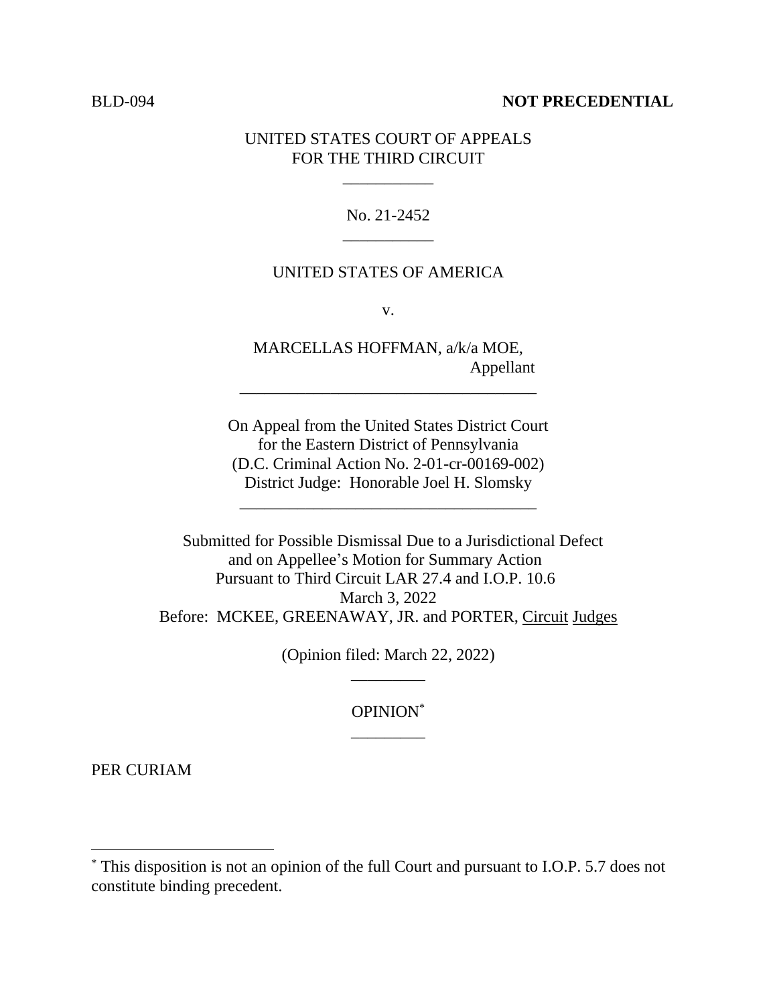### BLD-094 **NOT PRECEDENTIAL**

## UNITED STATES COURT OF APPEALS FOR THE THIRD CIRCUIT

\_\_\_\_\_\_\_\_\_\_\_

No. 21-2452 \_\_\_\_\_\_\_\_\_\_\_

### UNITED STATES OF AMERICA

v.

MARCELLAS HOFFMAN, a/k/a MOE, Appellant

\_\_\_\_\_\_\_\_\_\_\_\_\_\_\_\_\_\_\_\_\_\_\_\_\_\_\_\_\_\_\_\_\_\_\_\_

On Appeal from the United States District Court for the Eastern District of Pennsylvania (D.C. Criminal Action No. 2-01-cr-00169-002) District Judge: Honorable Joel H. Slomsky

\_\_\_\_\_\_\_\_\_\_\_\_\_\_\_\_\_\_\_\_\_\_\_\_\_\_\_\_\_\_\_\_\_\_\_\_

Submitted for Possible Dismissal Due to a Jurisdictional Defect and on Appellee's Motion for Summary Action Pursuant to Third Circuit LAR 27.4 and I.O.P. 10.6 March 3, 2022 Before: MCKEE, GREENAWAY, JR. and PORTER, Circuit Judges

> (Opinion filed: March 22, 2022) \_\_\_\_\_\_\_\_\_

> > OPINION\* \_\_\_\_\_\_\_\_\_

PER CURIAM

<sup>\*</sup> This disposition is not an opinion of the full Court and pursuant to I.O.P. 5.7 does not constitute binding precedent.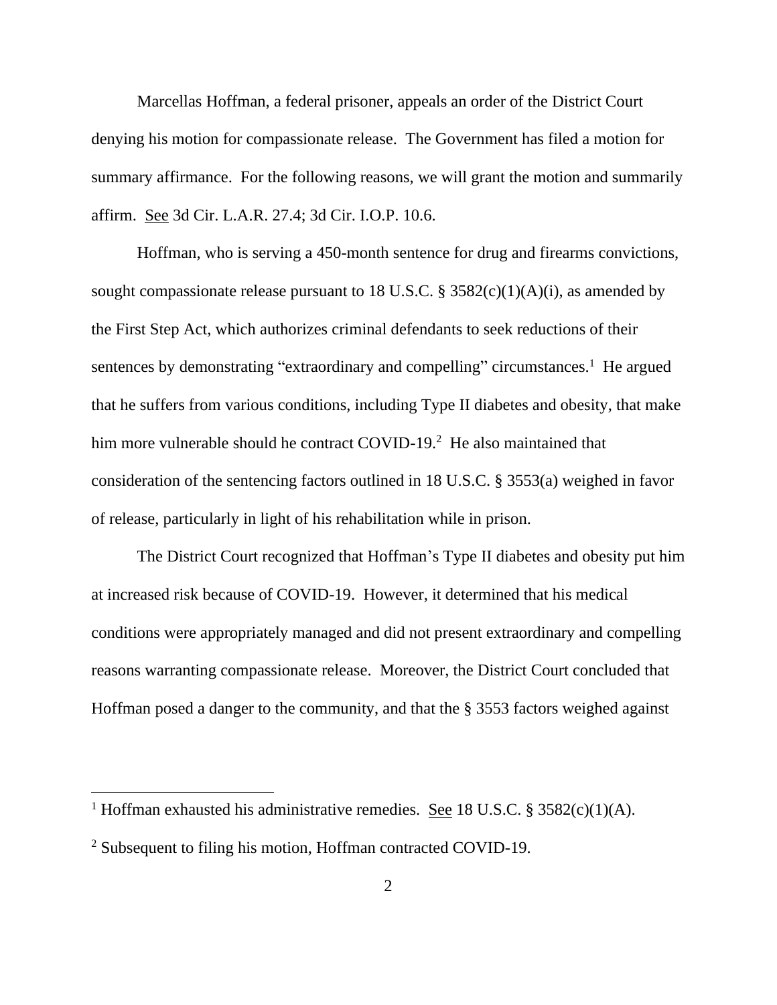Marcellas Hoffman, a federal prisoner, appeals an order of the District Court denying his motion for compassionate release. The Government has filed a motion for summary affirmance. For the following reasons, we will grant the motion and summarily affirm. See 3d Cir. L.A.R. 27.4; 3d Cir. I.O.P. 10.6.

Hoffman, who is serving a 450-month sentence for drug and firearms convictions, sought compassionate release pursuant to 18 U.S.C. §  $3582(c)(1)(A)(i)$ , as amended by the First Step Act, which authorizes criminal defendants to seek reductions of their sentences by demonstrating "extraordinary and compelling" circumstances.<sup>1</sup> He argued that he suffers from various conditions, including Type II diabetes and obesity, that make him more vulnerable should he contract COVID-19.<sup>2</sup> He also maintained that consideration of the sentencing factors outlined in 18 U.S.C. § 3553(a) weighed in favor of release, particularly in light of his rehabilitation while in prison.

The District Court recognized that Hoffman's Type II diabetes and obesity put him at increased risk because of COVID-19. However, it determined that his medical conditions were appropriately managed and did not present extraordinary and compelling reasons warranting compassionate release. Moreover, the District Court concluded that Hoffman posed a danger to the community, and that the § 3553 factors weighed against

<sup>&</sup>lt;sup>1</sup> Hoffman exhausted his administrative remedies. See 18 U.S.C. § 3582(c)(1)(A).

<sup>&</sup>lt;sup>2</sup> Subsequent to filing his motion, Hoffman contracted COVID-19.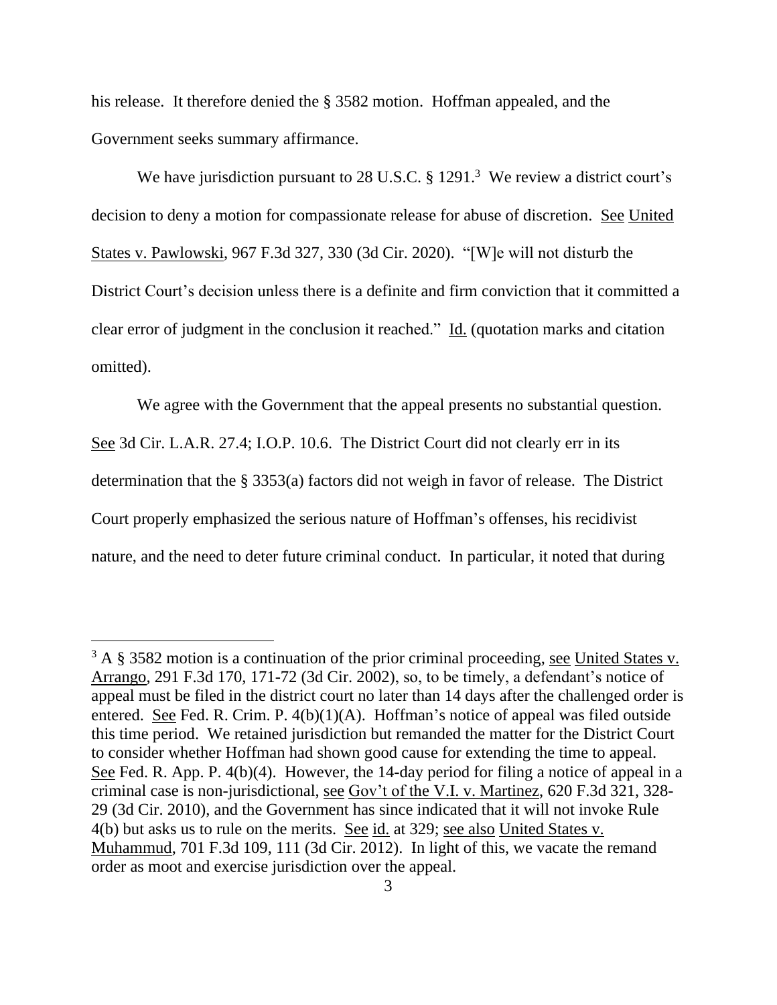his release. It therefore denied the § 3582 motion. Hoffman appealed, and the Government seeks summary affirmance.

We have jurisdiction pursuant to 28 U.S.C. § 1291.<sup>3</sup> We review a district court's decision to deny a motion for compassionate release for abuse of discretion. See United States v. Pawlowski, 967 F.3d 327, 330 (3d Cir. 2020). "[W]e will not disturb the District Court's decision unless there is a definite and firm conviction that it committed a clear error of judgment in the conclusion it reached." Id. (quotation marks and citation omitted).

We agree with the Government that the appeal presents no substantial question. See 3d Cir. L.A.R. 27.4; I.O.P. 10.6. The District Court did not clearly err in its determination that the § 3353(a) factors did not weigh in favor of release. The District Court properly emphasized the serious nature of Hoffman's offenses, his recidivist nature, and the need to deter future criminal conduct. In particular, it noted that during

 $3 A$  § 3582 motion is a continuation of the prior criminal proceeding, see United States v. Arrango, 291 F.3d 170, 171-72 (3d Cir. 2002), so, to be timely, a defendant's notice of appeal must be filed in the district court no later than 14 days after the challenged order is entered. See Fed. R. Crim. P. 4(b)(1)(A). Hoffman's notice of appeal was filed outside this time period. We retained jurisdiction but remanded the matter for the District Court to consider whether Hoffman had shown good cause for extending the time to appeal. See Fed. R. App. P. 4(b)(4). However, the 14-day period for filing a notice of appeal in a criminal case is non-jurisdictional, see Gov't of the V.I. v. Martinez, 620 F.3d 321, 328- 29 (3d Cir. 2010), and the Government has since indicated that it will not invoke Rule 4(b) but asks us to rule on the merits. See id. at 329; see also United States v. Muhammud, 701 F.3d 109, 111 (3d Cir. 2012). In light of this, we vacate the remand order as moot and exercise jurisdiction over the appeal.